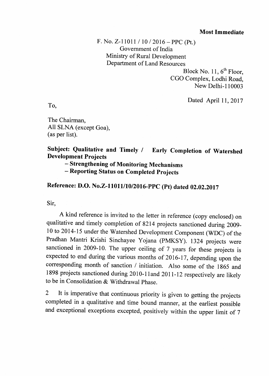## Most Immediate

F. No. Z-11011 / 10 / 2016 - PPC (Pt.) Government of India Ministry of Rural Development Department of Land Resources

> Block No. 11,  $6<sup>th</sup>$  Floor, CGO Complex, Lodhi Road, New Delhi-110003

> > Dated April 11, 2017

To,

The Chairman, All SLNA (except Goa), (as per list).

Subject: Qualitative and Timely / Early Completion of Watershed Development Projects

- strengthening of Monitoring Mechanisms

- Reporting Status on Completed Projects

Reference: D.O. No.Z-11011/10/2016-PPC (Pt) dated 02.02.2017

Sir,

A kind reference is invited to the letter in reference (copy enclosed) on qualitative and timely completion of 8214 projects sanctioned during 2009 l0 to 2014-15 under the Watershed Development Component (WDC) of the Pradhan Mantri Krishi Sinchayee Yojana (PMKSY). l3Z4 projects were sanctioned in 2009-10. The upper ceiling of 7 years for these projects is expected to end during the various months of 2016-17, depending upon the corresponding month of sanction / initiation. Also some of the 1865 and 1898 projects sanctioned during 2010-11 and 2011-12 respectively are likely to be in Consolidation & Withdrawal phase.

2 It is imperative that continuous priority is given to getting the projects completed in a qualitative and time bound manner, at the earliest possible and exceptional exceptions excepted, positively within the upper limit of 7